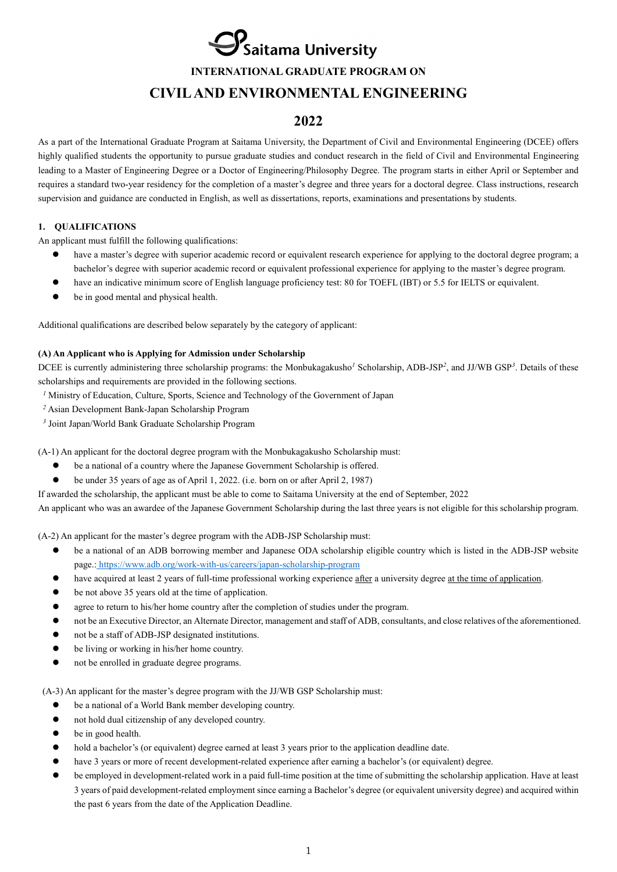**P**<br>PSaitama University

**INTERNATIONAL GRADUATE PROGRAM ON**

# **CIVIL AND ENVIRONMENTAL ENGINEERING**

# **2022**

As a part of the International Graduate Program at Saitama University, the Department of Civil and Environmental Engineering (DCEE) offers highly qualified students the opportunity to pursue graduate studies and conduct research in the field of Civil and Environmental Engineering leading to a Master of Engineering Degree or a Doctor of Engineering/Philosophy Degree. The program starts in either April or September and requires a standard two-year residency for the completion of a master's degree and three years for a doctoral degree. Class instructions, research supervision and guidance are conducted in English, as well as dissertations, reports, examinations and presentations by students.

# **1. QUALIFICATIONS**

An applicant must fulfill the following qualifications:

- have a master's degree with superior academic record or equivalent research experience for applying to the doctoral degree program; a bachelor's degree with superior academic record or equivalent professional experience for applying to the master's degree program.
- have an indicative minimum score of English language proficiency test: 80 for TOEFL (IBT) or 5.5 for IELTS or equivalent.
- be in good mental and physical health.

Additional qualifications are described below separately by the category of applicant:

# **(A) An Applicant who is Applying for Admission under Scholarship**

DCEE is currently administering three scholarship programs: the Monbukagakusho*<sup>1</sup>* Scholarship, ADB-JSP*<sup>2</sup>*, and JJ/WB GSP*<sup>3</sup>*. Details of these scholarships and requirements are provided in the following sections.

- *<sup>1</sup>* Ministry of Education, Culture, Sports, Science and Technology of the Government of Japan
- *<sup>2</sup>* Asian Development Bank-Japan Scholarship Program
- *<sup>3</sup>* Joint Japan/World Bank Graduate Scholarship Program

(A-1) An applicant for the doctoral degree program with the Monbukagakusho Scholarship must:

- be a national of a country where the Japanese Government Scholarship is offered.
- be under 35 years of age as of April 1, 2022. (i.e. born on or after April 2, 1987)

If awarded the scholarship, the applicant must be able to come to Saitama University at the end of September, 2022

An applicant who was an awardee of the Japanese Government Scholarship during the last three years is not eligible for this scholarship program.

(A-2) An applicant for the master's degree program with the ADB-JSP Scholarship must:

- be a national of an ADB borrowing member and Japanese ODA scholarship eligible country which is listed in the ADB-JSP website page.: <https://www.adb.org/work-with-us/careers/japan-scholarship-program>
- have acquired at least 2 years of full-time professional working experience after a university degree at the time of application.
- be not above 35 years old at the time of application.
- agree to return to his/her home country after the completion of studies under the program.
- not be an Executive Director, an Alternate Director, management and staff of ADB, consultants, and close relatives of the aforementioned.
- not be a staff of ADB-JSP designated institutions.
- be living or working in his/her home country.
- not be enrolled in graduate degree programs.

(A-3) An applicant for the master's degree program with the JJ/WB GSP Scholarship must:

- be a national of a World Bank member developing country.
- not hold dual citizenship of any developed country.
- be in good health.
- hold a bachelor's (or equivalent) degree earned at least 3 years prior to the application deadline date.
- have 3 years or more of recent development-related experience after earning a bachelor's (or equivalent) degree.
- be employed in development-related work in a paid full-time position at the time of submitting the scholarship application. Have at least 3 years of paid development-related employment since earning a Bachelor's degree (or equivalent university degree) and acquired within the past 6 years from the date of the Application Deadline.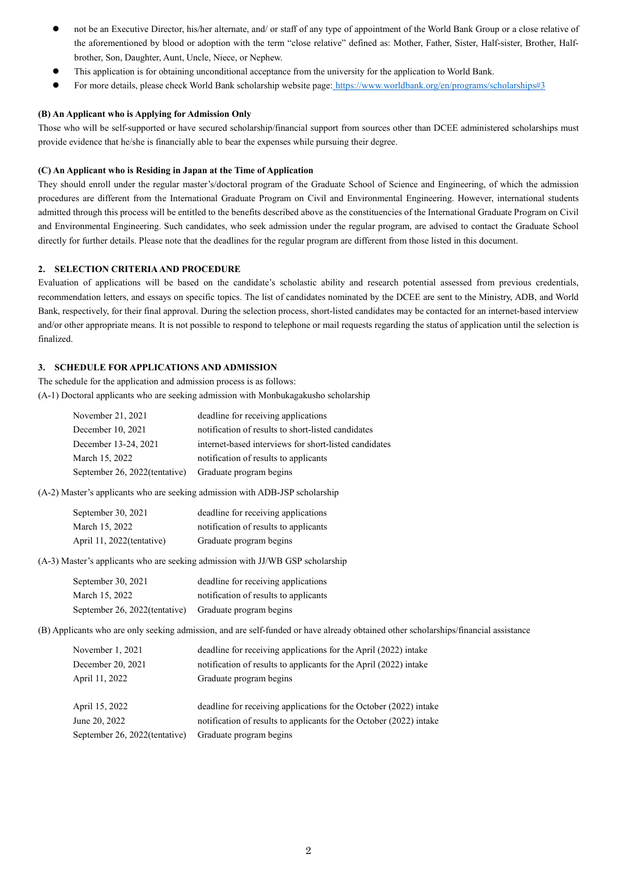- not be an Executive Director, his/her alternate, and/ or staff of any type of appointment of the World Bank Group or a close relative of the aforementioned by blood or adoption with the term "close relative" defined as: Mother, Father, Sister, Half-sister, Brother, Halfbrother, Son, Daughter, Aunt, Uncle, Niece, or Nephew.
- This application is for obtaining unconditional acceptance from the university for the application to World Bank.
- For more details, please check World Bank scholarship website page: <https://www.worldbank.org/en/programs/scholarships#3>

### **(B) An Applicant who is Applying for Admission Only**

Those who will be self-supported or have secured scholarship/financial support from sources other than DCEE administered scholarships must provide evidence that he/she is financially able to bear the expenses while pursuing their degree.

#### **(C) An Applicant who is Residing in Japan at the Time of Application**

They should enroll under the regular master's/doctoral program of the Graduate School of Science and Engineering, of which the admission procedures are different from the International Graduate Program on Civil and Environmental Engineering. However, international students admitted through this process will be entitled to the benefits described above as the constituencies of the International Graduate Program on Civil and Environmental Engineering. Such candidates, who seek admission under the regular program, are advised to contact the Graduate School directly for further details. Please note that the deadlines for the regular program are different from those listed in this document.

# **2. SELECTION CRITERIA AND PROCEDURE**

Evaluation of applications will be based on the candidate's scholastic ability and research potential assessed from previous credentials, recommendation letters, and essays on specific topics. The list of candidates nominated by the DCEE are sent to the Ministry, ADB, and World Bank, respectively, for their final approval. During the selection process, short-listed candidates may be contacted for an internet-based interview and/or other appropriate means. It is not possible to respond to telephone or mail requests regarding the status of application until the selection is finalized.

# **3. SCHEDULE FOR APPLICATIONS AND ADMISSION**

The schedule for the application and admission process is as follows: (A-1) Doctoral applicants who are seeking admission with Monbukagakusho scholarship

| November 21, 2021             | deadline for receiving applications                   |
|-------------------------------|-------------------------------------------------------|
| December 10, 2021             | notification of results to short-listed candidates    |
| December 13-24, 2021          | internet-based interviews for short-listed candidates |
| March 15, 2022                | notification of results to applicants                 |
| September 26, 2022(tentative) | Graduate program begins                               |

(A-2) Master's applicants who are seeking admission with ADB-JSP scholarship

| September 30, 2021         | deadline for receiving applications   |
|----------------------------|---------------------------------------|
| March 15, 2022             | notification of results to applicants |
| April 11, 2022 (tentative) | Graduate program begins               |

(A-3) Master's applicants who are seeking admission with JJ/WB GSP scholarship

| September 30, 2021                                    | deadline for receiving applications   |
|-------------------------------------------------------|---------------------------------------|
| March 15, 2022                                        | notification of results to applicants |
| September 26, 2022(tentative) Graduate program begins |                                       |

(B) Applicants who are only seeking admission, and are self-funded or have already obtained other scholarships/financial assistance

| November 1, 2021              | deadline for receiving applications for the April (2022) intake     |
|-------------------------------|---------------------------------------------------------------------|
| December 20, 2021             | notification of results to applicants for the April (2022) intake   |
| April 11, 2022                | Graduate program begins                                             |
| April 15, 2022                | deadline for receiving applications for the October (2022) intake   |
| June 20, 2022                 | notification of results to applicants for the October (2022) intake |
| September 26, 2022(tentative) | Graduate program begins                                             |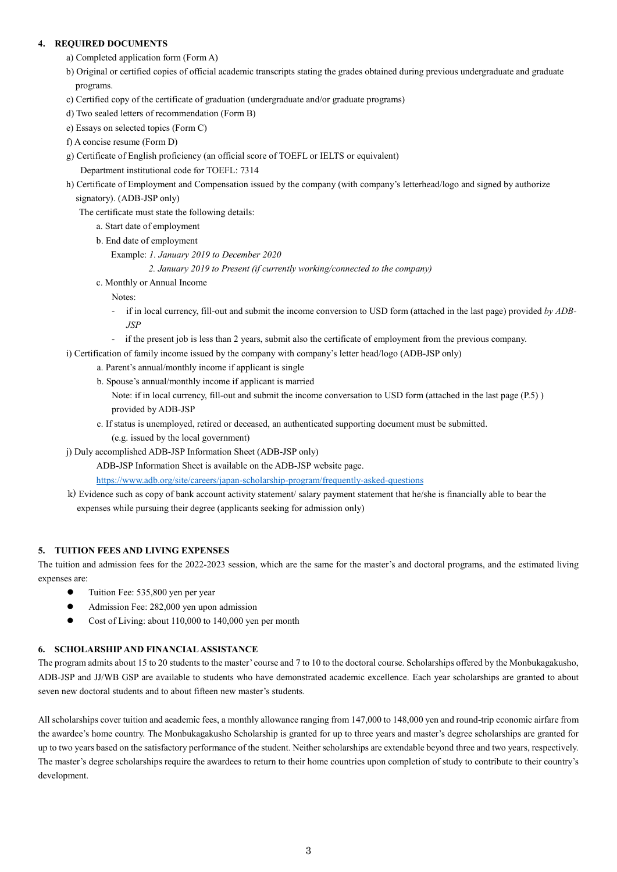# **4. REQUIRED DOCUMENTS**

- a) Completed application form (Form A)
- b) Original or certified copies of official academic transcripts stating the grades obtained during previous undergraduate and graduate programs.
- c) Certified copy of the certificate of graduation (undergraduate and/or graduate programs)
- d) Two sealed letters of recommendation (Form B)
- e) Essays on selected topics (Form C)
- f) A concise resume (Form D)
- g) Certificate of English proficiency (an official score of TOEFL or IELTS or equivalent)

Department institutional code for TOEFL: 7314

 h) Certificate of Employment and Compensation issued by the company (with company's letterhead/logo and signed by authorize signatory). (ADB-JSP only)

The certificate must state the following details:

a. Start date of employment

b. End date of employment

Example: *1. January 2019 to December 2020*

 *2. January 2019 to Present (if currently working/connected to the company)*

c. Monthly or Annual Income

Notes:

- if in local currency, fill-out and submit the income conversion to USD form (attached in the last page) provided *by ADB-JSP*
- *-* if the present job is less than 2 years, submit also the certificate of employment from the previous company.
- i) Certification of family income issued by the company with company's letter head/logo (ADB-JSP only)
	- a. Parent's annual/monthly income if applicant is single
	- b. Spouse's annual/monthly income if applicant is married
		- Note: if in local currency, fill-out and submit the income conversation to USD form (attached in the last page (P.5) ) provided by ADB-JSP
	- c. If status is unemployed, retired or deceased, an authenticated supporting document must be submitted.
		- (e.g. issued by the local government)
- j) Duly accomplished ADB-JSP Information Sheet (ADB-JSP only)

ADB-JSP Information Sheet is available on the ADB-JSP website page.

<https://www.adb.org/site/careers/japan-scholarship-program/frequently-asked-questions>

k) Evidence such as copy of bank account activity statement/ salary payment statement that he/she is financially able to bear the expenses while pursuing their degree (applicants seeking for admission only)

# **5. TUITION FEES AND LIVING EXPENSES**

The tuition and admission fees for the 2022-2023 session, which are the same for the master's and doctoral programs, and the estimated living expenses are:

- Tuition Fee: 535,800 yen per year
- Admission Fee: 282,000 yen upon admission
- Cost of Living: about 110,000 to 140,000 yen per month

# **6. SCHOLARSHIP AND FINANCIAL ASSISTANCE**

The program admits about 15 to 20 students to the master' course and 7 to 10 to the doctoral course. Scholarships offered by the Monbukagakusho, ADB-JSP and JJ/WB GSP are available to students who have demonstrated academic excellence. Each year scholarships are granted to about seven new doctoral students and to about fifteen new master's students.

All scholarships cover tuition and academic fees, a monthly allowance ranging from 147,000 to 148,000 yen and round-trip economic airfare from the awardee's home country. The Monbukagakusho Scholarship is granted for up to three years and master's degree scholarships are granted for up to two years based on the satisfactory performance of the student. Neither scholarships are extendable beyond three and two years, respectively. The master's degree scholarships require the awardees to return to their home countries upon completion of study to contribute to their country's development.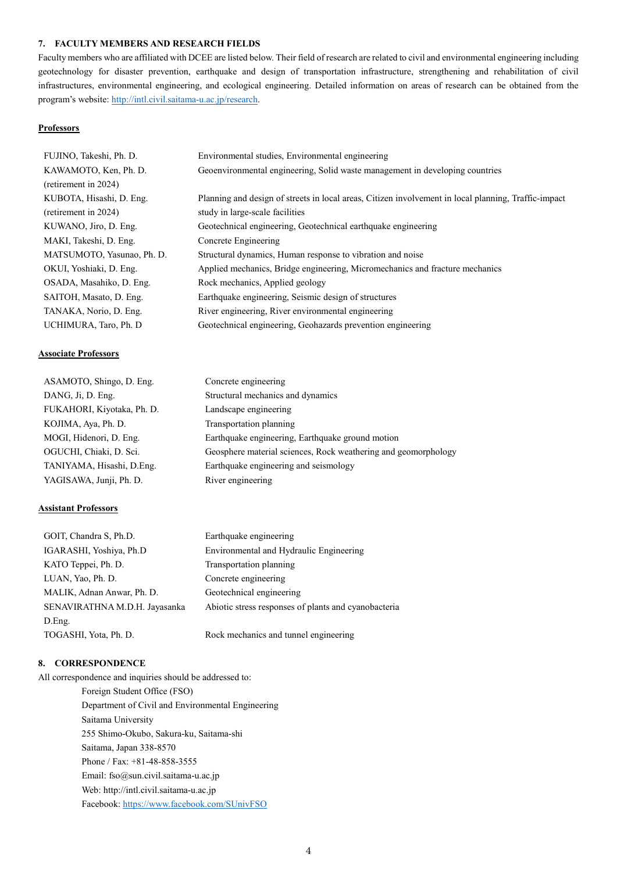#### **7. FACULTY MEMBERS AND RESEARCH FIELDS**

Faculty members who are affiliated with DCEE are listed below. Their field of research are related to civil and environmental engineering including geotechnology for disaster prevention, earthquake and design of transportation infrastructure, strengthening and rehabilitation of civil infrastructures, environmental engineering, and ecological engineering. Detailed information on areas of research can be obtained from the program's website: [http://intl.civil.saitama-u.ac.jp/research.](http://intl.civil.saitama-u.ac.jp/research)

### **Professors**

| FUJINO, Takeshi, Ph. D.    | Environmental studies, Environmental engineering                                                     |
|----------------------------|------------------------------------------------------------------------------------------------------|
| KAWAMOTO, Ken, Ph. D.      | Geoenvironmental engineering, Solid waste management in developing countries                         |
| (retirement in 2024)       |                                                                                                      |
| KUBOTA, Hisashi, D. Eng.   | Planning and design of streets in local areas, Citizen involvement in local planning, Traffic-impact |
| (retirement in 2024)       | study in large-scale facilities                                                                      |
| KUWANO, Jiro, D. Eng.      | Geotechnical engineering, Geotechnical earthquake engineering                                        |
| MAKI, Takeshi, D. Eng.     | Concrete Engineering                                                                                 |
| MATSUMOTO, Yasunao, Ph. D. | Structural dynamics, Human response to vibration and noise                                           |
| OKUI, Yoshiaki, D. Eng.    | Applied mechanics, Bridge engineering, Micromechanics and fracture mechanics                         |
| OSADA, Masahiko, D. Eng.   | Rock mechanics, Applied geology                                                                      |
| SAITOH, Masato, D. Eng.    | Earthquake engineering, Seismic design of structures                                                 |
| TANAKA, Norio, D. Eng.     | River engineering, River environmental engineering                                                   |
| UCHIMURA, Taro, Ph. D      | Geotechnical engineering, Geohazards prevention engineering                                          |

#### **Associate Professors**

| ASAMOTO, Shingo, D. Eng.   | Concrete engineering                                           |
|----------------------------|----------------------------------------------------------------|
| DANG, Ji, D. Eng.          | Structural mechanics and dynamics                              |
| FUKAHORI, Kiyotaka, Ph. D. | Landscape engineering                                          |
| KOJIMA, Aya, Ph. D.        | Transportation planning                                        |
| MOGI, Hidenori, D. Eng.    | Earthquake engineering, Earthquake ground motion               |
| OGUCHI, Chiaki, D. Sci.    | Geosphere material sciences, Rock weathering and geomorphology |
| TANIYAMA, Hisashi, D.Eng.  | Earthquake engineering and seismology                          |
| YAGISAWA, Junji, Ph. D.    | River engineering                                              |

### **Assistant Professors**

| GOIT, Chandra S, Ph.D.        | Earthquake engineering                               |
|-------------------------------|------------------------------------------------------|
| IGARASHI, Yoshiya, Ph.D       | Environmental and Hydraulic Engineering              |
| KATO Teppei, Ph. D.           | Transportation planning                              |
| LUAN, Yao, Ph. D.             | Concrete engineering                                 |
| MALIK, Adnan Anwar, Ph. D.    | Geotechnical engineering                             |
| SENAVIRATHNA M.D.H. Jayasanka | Abiotic stress responses of plants and cyanobacteria |
| D.Eng.                        |                                                      |
| TOGASHI, Yota, Ph. D.         | Rock mechanics and tunnel engineering                |

# **8. CORRESPONDENCE**

All correspondence and inquiries should be addressed to:

Foreign Student Office (FSO) Department of Civil and Environmental Engineering Saitama University 255 Shimo-Okubo, Sakura-ku, Saitama-shi Saitama, Japan 338-8570 Phone / Fax: +81-48-858-3555 Email: fso@sun.civil.saitama-u.ac.jp Web: http://intl.civil.saitama-u.ac.jp Facebook[: https://www.facebook.com/SUnivFSO](https://www.facebook.com/SUnivFSO)